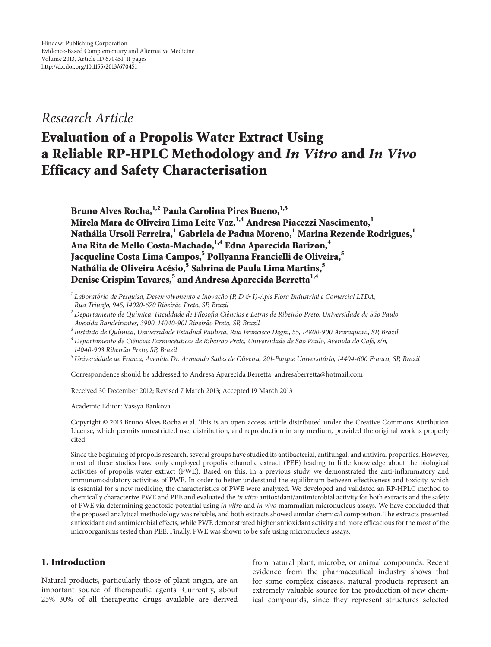# *Research Article*

# **Evaluation of a Propolis Water Extract Using a Reliable RP-HPLC Methodology and** *In Vitro* **and** *In Vivo* **Efficacy and Safety Characterisation**

Bruno Alves Rocha,<sup>1,2</sup> Paula Carolina Pires Bueno,<sup>1,3</sup> **Mirela Mara de Oliveira Lima Leite Vaz,1,4 Andresa Piacezzi Nascimento,1 Nathália Ursoli Ferreira,1 Gabriela de Padua Moreno,<sup>1</sup> Marina Rezende Rodrigues,<sup>1</sup> Ana Rita de Mello Costa-Machado,1,4 Edna Aparecida Barizon,<sup>4</sup> Jacqueline Costa Lima Campos,5 Pollyanna Francielli de Oliveira,<sup>5</sup> Nathália de Oliveira Acésio,<sup>5</sup> Sabrina de Paula Lima Martins,<sup>5</sup> Denise Crispim Tavares,<sup>5</sup> and Andresa Aparecida Berretta1,4**

<sup>1</sup> Laboratório de Pesquisa, Desenvolvimento e Inovação (P, D & I)-Apis Flora Industrial e Comercial LTDA, *Rua Triunfo, 945, 14020-670 Ribeirao Preto, SP, Brazil ˜*

*<sup>2</sup> Departamento de Qu´ımica, Faculdade de Filosofia Ciencias e Letras de Ribeir ˆ ao Preto, Universidade de S ˜ ao Paulo, ˜ Avenida Bandeirantes, 3900, 14040-901 Ribeirao Preto, SP, Brazil ˜*

*<sup>3</sup> Instituto de Qu´ımica, Universidade Estadual Paulista, Rua Francisco Degni, 55, 14800-900 Araraquara, SP, Brazil*

<sup>4</sup> Departamento de Ciências Farmacêuticas de Ribeirão Preto, Universidade de São Paulo, Avenida do Café, s/n, *14040-903 Ribeirao Preto, SP, Brazil ˜*

*<sup>5</sup> Universidade de Franca, Avenida Dr. Armando Salles de Oliveira, 201-Parque Universitario, 14404-600 Franca, SP, Brazil ´*

Correspondence should be addressed to Andresa Aparecida Berretta; andresaberretta@hotmail.com

Received 30 December 2012; Revised 7 March 2013; Accepted 19 March 2013

Academic Editor: Vassya Bankova

Copyright © 2013 Bruno Alves Rocha et al. This is an open access article distributed under the Creative Commons Attribution License, which permits unrestricted use, distribution, and reproduction in any medium, provided the original work is properly cited.

Since the beginning of propolis research, several groups have studied its antibacterial, antifungal, and antiviral properties. However, most of these studies have only employed propolis ethanolic extract (PEE) leading to little knowledge about the biological activities of propolis water extract (PWE). Based on this, in a previous study, we demonstrated the anti-inflammatory and immunomodulatory activities of PWE. In order to better understand the equilibrium between effectiveness and toxicity, which is essential for a new medicine, the characteristics of PWE were analyzed. We developed and validated an RP-HPLC method to chemically characterize PWE and PEE and evaluated the *in vitro* antioxidant/antimicrobial activity for both extracts and the safety of PWE via determining genotoxic potential using *in vitro* and *in vivo* mammalian micronucleus assays. We have concluded that the proposed analytical methodology was reliable, and both extracts showed similar chemical composition. The extracts presented antioxidant and antimicrobial effects, while PWE demonstrated higher antioxidant activity and more efficacious for the most of the microorganisms tested than PEE. Finally, PWE was shown to be safe using micronucleus assays.

# **1. Introduction**

Natural products, particularly those of plant origin, are an important source of therapeutic agents. Currently, about 25%–30% of all therapeutic drugs available are derived

from natural plant, microbe, or animal compounds. Recent evidence from the pharmaceutical industry shows that for some complex diseases, natural products represent an extremely valuable source for the production of new chemical compounds, since they represent structures selected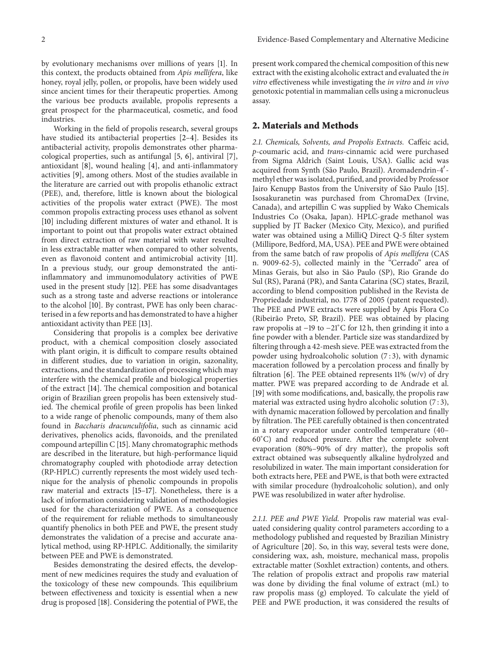by evolutionary mechanisms over millions of years [\[1](#page-9-1)]. In this context, the products obtained from *Apis mellifera*, like honey, royal jelly, pollen, or propolis, have been widely used since ancient times for their therapeutic properties. Among the various bee products available, propolis represents a great prospect for the pharmaceutical, cosmetic, and food industries.

Working in the field of propolis research, several groups have studied its antibacterial properties [\[2](#page-9-2)[–4](#page-9-3)]. Besides its antibacterial activity, propolis demonstrates other pharmacological properties, such as antifungal [\[5,](#page-9-4) [6](#page-9-5)], antiviral [\[7\]](#page-9-6), antioxidant [\[8\]](#page-9-7), wound healing [\[4](#page-9-3)], and anti-inflammatory activities [\[9\]](#page-9-8), among others. Most of the studies available in the literature are carried out with propolis ethanolic extract (PEE), and, therefore, little is known about the biological activities of the propolis water extract (PWE). The most common propolis extracting process uses ethanol as solvent [\[10](#page-9-9)] including different mixtures of water and ethanol. It is important to point out that propolis water extract obtained from direct extraction of raw material with water resulted in less extractable matter when compared to other solvents, even as flavonoid content and antimicrobial activity [\[11\]](#page-9-10). In a previous study, our group demonstrated the antiinflammatory and immunomodulatory activities of PWE used in the present study [\[12\]](#page-9-11). PEE has some disadvantages such as a strong taste and adverse reactions or intolerance to the alcohol [\[10](#page-9-9)]. By contrast, PWE has only been characterised in a few reports and has demonstrated to have a higher antioxidant activity than PEE [\[13\]](#page-9-12).

Considering that propolis is a complex bee derivative product, with a chemical composition closely associated with plant origin, it is difficult to compare results obtained in different studies, due to variation in origin, sazonality, extractions, and the standardization of processing which may interfere with the chemical profile and biological properties of the extract [\[14\]](#page-9-13). The chemical composition and botanical origin of Brazilian green propolis has been extensively studied. The chemical profile of green propolis has been linked to a wide range of phenolic compounds, many of them also found in *Baccharis dracunculifolia*, such as cinnamic acid derivatives, phenolics acids, flavonoids, and the prenilated compound artepillin C [\[15\]](#page-9-14). Many chromatographic methods are described in the literature, but high-performance liquid chromatography coupled with photodiode array detection (RP-HPLC) currently represents the most widely used technique for the analysis of phenolic compounds in propolis raw material and extracts [\[15](#page-9-14)[–17\]](#page-9-15). Nonetheless, there is a lack of information considering validation of methodologies used for the characterization of PWE. As a consequence of the requirement for reliable methods to simultaneously quantify phenolics in both PEE and PWE, the present study demonstrates the validation of a precise and accurate analytical method, using RP-HPLC. Additionally, the similarity between PEE and PWE is demonstrated.

Besides demonstrating the desired effects, the development of new medicines requires the study and evaluation of the toxicology of these new compounds. This equilibrium between effectiveness and toxicity is essential when a new drug is proposed [\[18](#page-10-0)]. Considering the potential of PWE, the

present work compared the chemical composition of this new extract with the existing alcoholic extract and evaluated the *in vitro* effectiveness while investigating the *in vitro* and *in vivo* genotoxic potential in mammalian cells using a micronucleus assay.

# **2. Materials and Methods**

*2.1. Chemicals, Solvents, and Propolis Extracts.* Caffeic acid, *p*-coumaric acid, and *trans*-cinnamic acid were purchased from Sigma Aldrich (Saint Louis, USA). Gallic acid was acquired from Synth (São Paulo, Brazil). Aromadendrin-4'methyl ether was isolated, purified, and provided by Professor Jairo Kenupp Bastos from the University of São Paulo [[15](#page-9-14)]. Isosakuranetin was purchased from ChromaDex (Irvine, Canada), and artepillin C was supplied by Wako Chemicals Industries Co (Osaka, Japan). HPLC-grade methanol was supplied by JT Backer (Mexico City, Mexico), and purified water was obtained using a MilliQ Direct Q-5 filter system (Millipore, Bedford, MA, USA). PEE and PWE were obtained from the same batch of raw propolis of *Apis mellifera* (CAS n. 9009-62-5), collected mainly in the "Cerrado" area of Minas Gerais, but also in São Paulo (SP), Rio Grande do Sul (RS), Paraná (PR), and Santa Catarina (SC) states, Brazil, according to blend composition published in the Revista de Propriedade industrial, no. 1778 of 2005 (patent requested). The PEE and PWE extracts were supplied by Apis Flora Co (Ribeirão Preto, SP, Brazil). PEE was obtained by placing raw propolis at −19 to −21<sup>∘</sup> C for 12 h, then grinding it into a fine powder with a blender. Particle size was standardized by filtering through a 42-mesh sieve. PEE was extracted from the powder using hydroalcoholic solution (7 : 3), with dynamic maceration followed by a percolation process and finally by filtration [\[6\]](#page-9-5). The PEE obtained represents  $11\%$  (w/v) of dry matter. PWE was prepared according to de Andrade et al. [\[19](#page-10-1)] with some modifications, and, basically, the propolis raw material was extracted using hydro alcoholic solution (7 : 3), with dynamic maceration followed by percolation and finally by filtration. The PEE carefully obtained is then concentrated in a rotary evaporator under controlled temperature (40– 60<sup>∘</sup> C) and reduced pressure. After the complete solvent evaporation (80%–90% of dry matter), the propolis soft extract obtained was subsequently alkaline hydrolyzed and resolubilized in water. The main important consideration for both extracts here, PEE and PWE, is that both were extracted with similar procedure (hydroalcoholic solution), and only PWE was resolubilized in water after hydrolise.

*2.1.1. PEE and PWE Yield.* Propolis raw material was evaluated considering quality control parameters according to a methodology published and requested by Brazilian Ministry of Agriculture [\[20](#page-10-2)]. So, in this way, several tests were done, considering wax, ash, moisture, mechanical mass, propolis extractable matter (Soxhlet extraction) contents, and others. The relation of propolis extract and propolis raw material was done by dividing the final volume of extract (mL) to raw propolis mass (g) employed. To calculate the yield of PEE and PWE production, it was considered the results of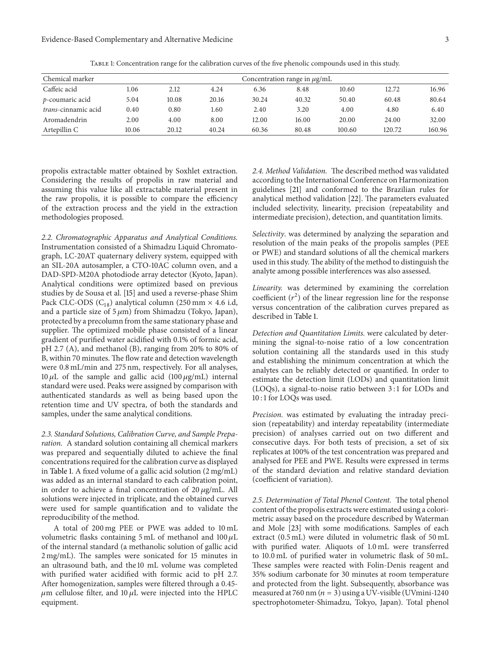| Chemical marker             | Concentration range in $\mu$ g/mL |       |       |       |       |        |        |        |
|-----------------------------|-----------------------------------|-------|-------|-------|-------|--------|--------|--------|
| Caffeic acid                | 1.06                              | 2.12  | 4.24  | 6.36  | 8.48  | 10.60  | 12.72  | 16.96  |
| $p$ -coumaric acid          | 5.04                              | 10.08 | 20.16 | 30.24 | 40.32 | 50.40  | 60.48  | 80.64  |
| <i>trans</i> -cinnamic acid | 0.40                              | 0.80  | 1.60  | 2.40  | 3.20  | 4.00   | 4.80   | 6.40   |
| Aromadendrin                | 2.00                              | 4.00  | 8.00  | 12.00 | 16.00 | 20.00  | 24.00  | 32.00  |
| Artepillin C                | 10.06                             | 20.12 | 40.24 | 60.36 | 80.48 | 100.60 | 120.72 | 160.96 |

<span id="page-2-0"></span>Table 1: Concentration range for the calibration curves of the five phenolic compounds used in this study.

propolis extractable matter obtained by Soxhlet extraction. Considering the results of propolis in raw material and assuming this value like all extractable material present in the raw propolis, it is possible to compare the efficiency of the extraction process and the yield in the extraction methodologies proposed.

*2.2. Chromatographic Apparatus and Analytical Conditions.* Instrumentation consisted of a Shimadzu Liquid Chromatograph, LC-20AT quaternary delivery system, equipped with an SIL-20A autosampler, a CTO-10AC column oven, and a DAD-SPD-M20A photodiode array detector (Kyoto, Japan). Analytical conditions were optimized based on previous studies by de Sousa et al. [\[15](#page-9-14)] and used a reverse-phase Shim Pack CLC-ODS ( $C_{18}$ ) analytical column (250 mm  $\times$  4.6 i.d, and a particle size of  $5 \mu m$ ) from Shimadzu (Tokyo, Japan), protected by a precolumn from the same stationary phase and supplier. The optimized mobile phase consisted of a linear gradient of purified water acidified with 0.1% of formic acid, pH 2.7 (A), and methanol (B), ranging from 20% to 80% of B, within 70 minutes. The flow rate and detection wavelength were 0.8 mL/min and 275 nm, respectively. For all analyses, 10  $\mu$ L of the sample and gallic acid (100  $\mu$ g/mL) internal standard were used. Peaks were assigned by comparison with authenticated standards as well as being based upon the retention time and UV spectra, of both the standards and samples, under the same analytical conditions.

*2.3. Standard Solutions, Calibration Curve, and Sample Preparation.* A standard solution containing all chemical markers was prepared and sequentially diluted to achieve the final concentrations required for the calibration curve as displayed in [Table 1.](#page-2-0) A fixed volume of a gallic acid solution (2 mg/mL) was added as an internal standard to each calibration point, in order to achieve a final concentration of  $20 \mu g/mL$ . All solutions were injected in triplicate, and the obtained curves were used for sample quantification and to validate the reproducibility of the method.

A total of 200 mg PEE or PWE was added to 10 mL volumetric flasks containing 5 mL of methanol and  $100 \mu L$ of the internal standard (a methanolic solution of gallic acid 2 mg/mL). The samples were sonicated for 15 minutes in an ultrasound bath, and the 10 mL volume was completed with purified water acidified with formic acid to pH 2.7. After homogenization, samples were filtered through a 0.45-  $\mu$ m cellulose filter, and 10  $\mu$ L were injected into the HPLC equipment.

*2.4. Method Validation.* The described method was validated according to the International Conference on Harmonization guidelines [\[21](#page-10-3)] and conformed to the Brazilian rules for analytical method validation [\[22](#page-10-4)]. The parameters evaluated included selectivity, linearity, precision (repeatability and intermediate precision), detection, and quantitation limits.

*Selectivity*. was determined by analyzing the separation and resolution of the main peaks of the propolis samples (PEE or PWE) and standard solutions of all the chemical markers used in this study. The ability of the method to distinguish the analyte among possible interferences was also assessed.

*Linearity.* was determined by examining the correlation coefficient  $(r^2)$  of the linear regression line for the response versus concentration of the calibration curves prepared as described in [Table 1.](#page-2-0)

*Detection and Quantitation Limits.* were calculated by determining the signal-to-noise ratio of a low concentration solution containing all the standards used in this study and establishing the minimum concentration at which the analytes can be reliably detected or quantified. In order to estimate the detection limit (LODs) and quantitation limit (LOQs), a signal-to-noise ratio between 3 : 1 for LODs and 10 : 1 for LOQs was used.

*Precision.* was estimated by evaluating the intraday precision (repeatability) and interday repeatability (intermediate precision) of analyses carried out on two different and consecutive days. For both tests of precision, a set of six replicates at 100% of the test concentration was prepared and analysed for PEE and PWE. Results were expressed in terms of the standard deviation and relative standard deviation (coefficient of variation).

*2.5. Determination of Total Phenol Content.* The total phenol content of the propolis extracts were estimated using a colorimetric assay based on the procedure described by Waterman and Mole [\[23](#page-10-5)] with some modifications. Samples of each extract (0.5 mL) were diluted in volumetric flask of 50 mL with purified water. Aliquots of 1.0 mL were transferred to 10.0 mL of purified water in volumetric flask of 50 mL. These samples were reacted with Folin-Denis reagent and 35% sodium carbonate for 30 minutes at room temperature and protected from the light. Subsequently, absorbance was measured at 760 nm ( $n=3$ ) using a UV-visible (UVmini-1240 spectrophotometer-Shimadzu, Tokyo, Japan). Total phenol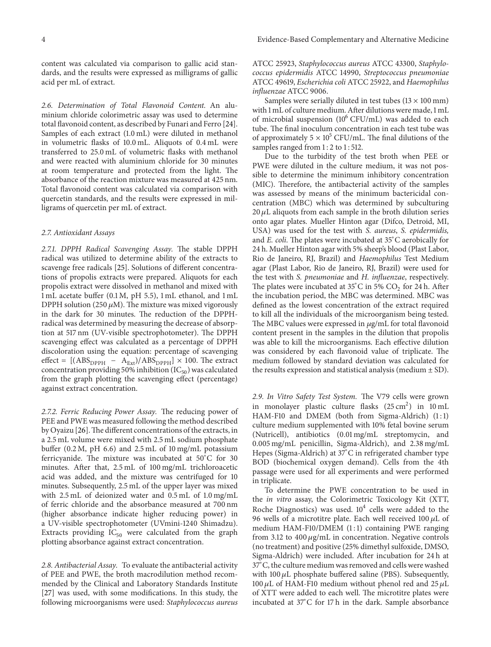content was calculated via comparison to gallic acid standards, and the results were expressed as milligrams of gallic acid per mL of extract.

*2.6. Determination of Total Flavonoid Content.* An aluminium chloride colorimetric assay was used to determine total flavonoid content, as described by Funari and Ferro [\[24\]](#page-10-6). Samples of each extract (1.0 mL) were diluted in methanol in volumetric flasks of 10.0 mL. Aliquots of 0.4 mL were transferred to 25.0 mL of volumetric flasks with methanol and were reacted with aluminium chloride for 30 minutes at room temperature and protected from the light. The absorbance of the reaction mixture was measured at 425 nm. Total flavonoid content was calculated via comparison with quercetin standards, and the results were expressed in milligrams of quercetin per mL of extract.

#### *2.7. Antioxidant Assays*

*2.7.1. DPPH Radical Scavenging Assay.* The stable DPPH radical was utilized to determine ability of the extracts to scavenge free radicals [\[25](#page-10-7)]. Solutions of different concentrations of propolis extracts were prepared. Aliquots for each propolis extract were dissolved in methanol and mixed with 1 mL acetate buffer (0.1 M, pH 5.5), 1 mL ethanol, and 1 mL DPPH solution (250  $\mu$ M). The mixture was mixed vigorously in the dark for 30 minutes. The reduction of the DPPHradical was determined by measuring the decrease of absorption at 517 nm (UV-visible spectrophotometer). The DPPH scavenging effect was calculated as a percentage of DPPH discoloration using the equation: percentage of scavenging effect =  $[(\text{ABS}_{\text{DPPH}} - \text{A}_{\text{Ext}})/\text{ABS}_{\text{DPPH}}] \times 100$ . The extract concentration providing 50% inhibition  $(IC_{50})$  was calculated from the graph plotting the scavenging effect (percentage) against extract concentration.

*2.7.2. Ferric Reducing Power Assay.* The reducing power of PEE and PWE was measured following the method described by Oyaizu [\[26\]](#page-10-8).The different concentrations of the extracts, in a 2.5 mL volume were mixed with 2.5 mL sodium phosphate buffer (0.2 M, pH 6.6) and 2.5 mL of 10 mg/mL potassium ferricyanide. The mixture was incubated at 50°C for 30 minutes. After that, 2.5 mL of 100 mg/mL trichloroacetic acid was added, and the mixture was centrifuged for 10 minutes. Subsequently, 2.5 mL of the upper layer was mixed with 2.5 mL of deionized water and 0.5 mL of 1.0 mg/mL of ferric chloride and the absorbance measured at 700 nm (higher absorbance indicate higher reducing power) in a UV-visible spectrophotometer (UVmini-1240 Shimadzu). Extracts providing  $IC_{50}$  were calculated from the graph plotting absorbance against extract concentration.

*2.8. Antibacterial Assay.* To evaluate the antibacterial activity of PEE and PWE, the broth macrodilution method recommended by the Clinical and Laboratory Standards Institute [\[27](#page-10-9)] was used, with some modifications. In this study, the following microorganisms were used: *Staphylococcus aureus* ATCC 25923, *Staphylococcus aureus* ATCC 43300, *Staphylococcus epidermidis* ATCC 14990, *Streptococcus pneumoniae* ATCC 49619, *Escherichia coli* ATCC 25922, and *Haemophilus influenzae* ATCC 9006.

Samples were serially diluted in test tubes  $(13 \times 100 \text{ mm})$ with 1 mL of culture medium. After dilutions were made, 1 mL of microbial suspension  $(10^6$  CFU/mL) was added to each tube. The final inoculum concentration in each test tube was of approximately  $5 \times 10^5$  CFU/mL. The final dilutions of the samples ranged from 1:2 to 1:512.

Due to the turbidity of the test broth when PEE or PWE were diluted in the culture medium, it was not possible to determine the minimum inhibitory concentration (MIC). Therefore, the antibacterial activity of the samples was assessed by means of the minimum bactericidal concentration (MBC) which was determined by subculturing  $20 \mu$ L aliquots from each sample in the broth dilution series onto agar plates. Mueller Hinton agar (Difco, Detroid, MI, USA) was used for the test with *S. aureus*, *S. epidermidis,* and *E. coli*. The plates were incubated at 35<sup>∘</sup> C aerobically for 24 h. Mueller Hinton agar with 5% sheep's blood (Plast Labor, Rio de Janeiro, RJ, Brazil) and *Haemophilus* Test Medium agar (Plast Labor, Rio de Janeiro, RJ, Brazil) were used for the test with *S. pneumoniae* and *H. influenzae*, respectively. The plates were incubated at  $35^{\circ}$ C in 5% CO<sub>2</sub> for 24 h. After the incubation period, the MBC was determined. MBC was defined as the lowest concentration of the extract required to kill all the individuals of the microorganism being tested. The MBC values were expressed in  $\mu$ g/mL for total flavonoid content present in the samples in the dilution that propolis was able to kill the microorganisms. Each effective dilution was considered by each flavonoid value of triplicate. The medium followed by standard deviation was calculated for the results expression and statistical analysis (medium  $\pm$  SD).

*2.9. In Vitro Safety Test System.* The V79 cells were grown in monolayer plastic culture flasks  $(25 \text{ cm}^2)$  in  $10 \text{ mL}$ HAM-F10 and DMEM (both from Sigma-Aldrich) (1:1) culture medium supplemented with 10% fetal bovine serum (Nutricell), antibiotics (0.01 mg/mL streptomycin, and 0.005 mg/mL penicillin, Sigma-Aldrich), and 2.38 mg/mL Hepes (Sigma-Aldrich) at 37°C in refrigerated chamber type BOD (biochemical oxygen demand). Cells from the 4th passage were used for all experiments and were performed in triplicate.

To determine the PWE concentration to be used in the *in vitro* assay, the Colorimetric Toxicology Kit (XTT, Roche Diagnostics) was used.  $10<sup>4</sup>$  cells were added to the 96 wells of a microtitre plate. Each well received  $100 \mu L$  of medium HAM-F10/DMEM  $(1:1)$  containing PWE ranging from 3.12 to 400  $\mu$ g/mL in concentration. Negative controls (no treatment) and positive (25% dimethyl sulfoxide, DMSO, Sigma-Aldrich) were included. After incubation for 24 h at 37∘ C, the culture medium was removed and cells were washed with  $100 \mu L$  phosphate buffered saline (PBS). Subsequently, 100  $\mu$ L of HAM-F10 medium without phenol red and 25  $\mu$ L of XTT were added to each well. The microtitre plates were incubated at 37<sup>∘</sup> C for 17 h in the dark. Sample absorbance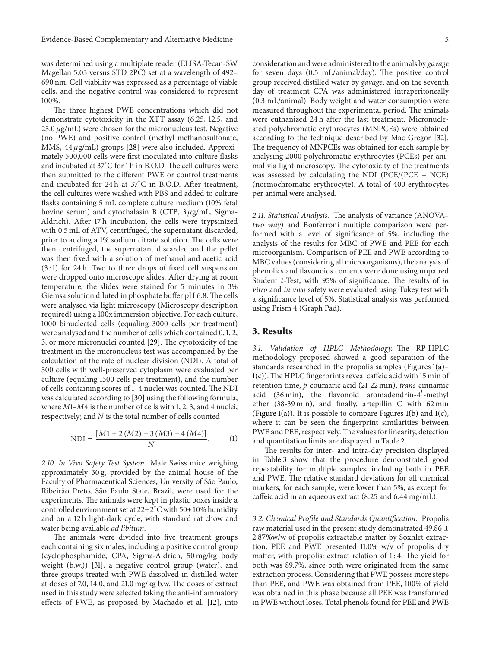was determined using a multiplate reader (ELISA-Tecan-SW Magellan 5.03 versus STD 2PC) set at a wavelength of 492– 690 nm. Cell viability was expressed as a percentage of viable cells, and the negative control was considered to represent 100%.

The three highest PWE concentrations which did not demonstrate cytotoxicity in the XTT assay (6.25, 12.5, and  $25.0 \,\mu g/mL$ ) were chosen for the micronucleus test. Negative (no PWE) and positive control (methyl methanosulfonate, MMS,  $44 \mu g/mL$ ) groups [\[28](#page-10-10)] were also included. Approximately 500,000 cells were first inoculated into culture flasks and incubated at 37<sup>∘</sup> C for 1 h in B.O.D. The cell cultures were then submitted to the different PWE or control treatments and incubated for 24 h at 37<sup>∘</sup> C in B.O.D. After treatment, the cell cultures were washed with PBS and added to culture flasks containing 5 mL complete culture medium (10% fetal bovine serum) and cytochalasin B (CTB,  $3 \mu$ g/mL, Sigma-Aldrich). After 17 h incubation, the cells were trypsinized with 0.5 mL of ATV, centrifuged, the supernatant discarded, prior to adding a 1% sodium citrate solution. The cells were then centrifuged, the supernatant discarded and the pellet was then fixed with a solution of methanol and acetic acid  $(3:1)$  for 24 h. Two to three drops of fixed cell suspension were dropped onto microscope slides. After drying at room temperature, the slides were stained for 5 minutes in 3% Giemsa solution diluted in phosphate buffer pH 6.8. The cells were analysed via light microscopy (Microscopy description required) using a 100x immersion objective. For each culture, 1000 binucleated cells (equaling 3000 cells per treatment) were analysed and the number of cells which contained 0, 1, 2, 3, or more micronuclei counted [\[29\]](#page-10-11). The cytotoxicity of the treatment in the micronucleus test was accompanied by the calculation of the rate of nuclear division (NDI). A total of 500 cells with well-preserved cytoplasm were evaluated per culture (equaling 1500 cells per treatment), and the number of cells containing scores of 1–4 nuclei was counted. The NDI was calculated according to [\[30\]](#page-10-12) using the following formula, where *M*1–*M*4 is the number of cells with 1, 2, 3, and 4 nuclei, respectively; and *N* is the total number of cells counted

$$
NDI = \frac{[M1 + 2(M2) + 3(M3) + 4(M4)]}{N}.
$$
 (1)

*2.10. In Vivo Safety Test System.* Male Swiss mice weighing approximately 30 g, provided by the animal house of the Faculty of Pharmaceutical Sciences, University of São Paulo, Ribeirão Preto, São Paulo State, Brazil, were used for the experiments. The animals were kept in plastic boxes inside a controlled environment set at 22±2<sup>∘</sup> C with 50±10% humidity and on a 12 h light-dark cycle, with standard rat chow and water being available *ad libitum*.

The animals were divided into five treatment groups each containing six males, including a positive control group (cyclophosphamide, CPA, Sigma-Aldrich, 50 mg/kg body weight (b.w.)) [\[31\]](#page-10-13), a negative control group (water), and three groups treated with PWE dissolved in distilled water at doses of 7.0, 14.0, and 21.0 mg/kg b.w. The doses of extract used in this study were selected taking the anti-inflammatory effects of PWE, as proposed by Machado et al. [\[12\]](#page-9-11), into consideration and were administered to the animals by *gavage* for seven days (0.5 mL/animal/day). The positive control group received distilled water by *gavage*, and on the seventh day of treatment CPA was administered intraperitoneally (0.3 mL/animal). Body weight and water consumption were measured throughout the experimental period. The animals were euthanized 24 h after the last treatment. Micronucleated polychromatic erythrocytes (MNPCEs) were obtained according to the technique described by Mac Gregor [\[32](#page-10-14)]. The frequency of MNPCEs was obtained for each sample by analysing 2000 polychromatic erythrocytes (PCEs) per animal via light microscopy. The cytotoxicity of the treatments was assessed by calculating the NDI (PCE/(PCE + NCE) (normochromatic erythrocyte). A total of 400 erythrocytes per animal were analysed.

*2.11. Statistical Analysis.* The analysis of variance (ANOVA– *two way*) and Bonferroni multiple comparison were performed with a level of significance of 5%, including the analysis of the results for MBC of PWE and PEE for each microorganism. Comparison of PEE and PWE according to MBC values (considering all microorganisms), the analysis of phenolics and flavonoids contents were done using unpaired Student *t*-Test, with 95% of significance. The results of *in vitro* and *in vivo* safety were evaluated using Tukey test with a significance level of 5%. Statistical analysis was performed using Prism 4 (Graph Pad).

#### **3. Results**

*3.1. Validation of HPLC Methodology.* The RP-HPLC methodology proposed showed a good separation of the standards researched in the propolis samples (Figures [1\(a\)–](#page-6-0) [1\(c\)\)](#page-6-1). The HPLC fingerprints reveal caffeic acid with 15 min of retention time, *p*-coumaric acid (21-22 min), *trans*-cinnamic acid (36 min), the flavonoid aromadendrin-4'-methyl ether (38-39 min), and finally, artepillin C with 62 min [\(Figure 1\(a\)\)](#page-6-0). It is possible to compare Figures [1\(b\)](#page-6-2) and [1\(c\),](#page-6-1) where it can be seen the fingerprint similarities between PWE and PEE, respectively. The values for linearity, detection and quantitation limits are displayed in [Table 2.](#page-5-0)

The results for inter- and intra-day precision displayed in [Table 3](#page-5-1) show that the procedure demonstrated good repeatability for multiple samples, including both in PEE and PWE. The relative standard deviations for all chemical markers, for each sample, were lower than 5%, as except for caffeic acid in an aqueous extract (8.25 and 6.44 mg/mL).

*3.2. Chemical Profile and Standards Quantification.* Propolis raw material used in the present study demonstrated 49.86 ± 2.87%w/w of propolis extractable matter by Soxhlet extraction. PEE and PWE presented 11.0% w/v of propolis dry matter, with propolis: extract relation of 1:4. The yield for both was 89.7%, since both were originated from the same extraction process. Considering that PWE possess more steps than PEE, and PWE was obtained from PEE, 100% of yield was obtained in this phase because all PEE was transformed in PWE without loses. Total phenols found for PEE and PWE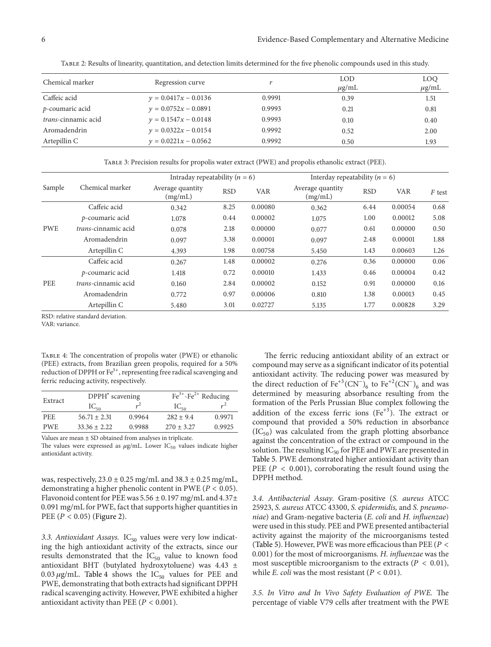| Chemical marker            | Regression curve       |        | LOD<br>$\mu$ g/mL | LOO<br>$\mu$ g/mL |
|----------------------------|------------------------|--------|-------------------|-------------------|
| Caffeic acid               | $y = 0.0417x - 0.0136$ | 0.9991 | 0.39              | 1.51              |
| p-coumaric acid            | $y = 0.0752x - 0.0891$ | 0.9993 | 0.21              | 0.81              |
| <i>trans-cinnamic acid</i> | $y = 0.1547x - 0.0148$ | 0.9993 | 0.10              | 0.40              |
| Aromadendrin               | $v = 0.0322x - 0.0154$ | 0.9992 | 0.52              | 2.00              |
| Artepillin C               | $y = 0.0221x - 0.0562$ | 0.9992 | 0.50              | 1.93              |

<span id="page-5-0"></span>Table 2: Results of linearity, quantitation, and detection limits determined for the five phenolic compounds used in this study.

<span id="page-5-1"></span>Table 3: Precision results for propolis water extract (PWE) and propolis ethanolic extract (PEE).

|            |                            | Intraday repeatability ( $n = 6$ ) |            |            | Interday repeatability ( $n = 6$ ) |            |            |          |
|------------|----------------------------|------------------------------------|------------|------------|------------------------------------|------------|------------|----------|
| Sample     | Chemical marker            | Average quantity<br>(mg/mL)        | <b>RSD</b> | <b>VAR</b> | Average quantity<br>(mg/mL)        | <b>RSD</b> | <b>VAR</b> | $F$ test |
|            | Caffeic acid               | 0.342                              | 8.25       | 0.00080    | 0.362                              | 6.44       | 0.00054    | 0.68     |
|            | p-coumaric acid            | 1.078                              | 0.44       | 0.00002    | 1.075                              | 1.00       | 0.00012    | 5.08     |
| <b>PWE</b> | <i>trans-cinnamic acid</i> | 0.078                              | 2.18       | 0.00000    | 0.077                              | 0.61       | 0.00000    | 0.50     |
|            | Aromadendrin               | 0.097                              | 3.38       | 0.00001    | 0.097                              | 2.48       | 0.00001    | 1.88     |
|            | Artepillin C               | 4.393                              | 1.98       | 0.00758    | 5.450                              | 1.43       | 0.00603    | 1.26     |
|            | Caffeic acid               | 0.267                              | 1.48       | 0.00002    | 0.276                              | 0.36       | 0.00000    | 0.06     |
| PEE        | p-coumaric acid            | 1.418                              | 0.72       | 0.00010    | 1.433                              | 0.46       | 0.00004    | 0.42     |
|            | <i>trans-cinnamic acid</i> | 0.160                              | 2.84       | 0.00002    | 0.152                              | 0.91       | 0.00000    | 0.16     |
|            | Aromadendrin               | 0.772                              | 0.97       | 0.00006    | 0.810                              | 1.38       | 0.00013    | 0.45     |
|            | Artepillin C               | 5.480                              | 3.01       | 0.02727    | 5.135                              | 1.77       | 0.00828    | 3.29     |

RSD: relative standard deviation.

VAR: variance.

<span id="page-5-2"></span>Table 4: The concentration of propolis water (PWE) or ethanolic (PEE) extracts, from Brazilian green propolis, required for a 50% reduction of DPPH or  $Fe<sup>3+</sup>$ , representing free radical scavenging and ferric reducing activity, respectively.

| Extract    | DPPH <sup>*</sup> scavening |        | $\text{Fe}^{3+}$ - $\text{Fe}^{2+}$ Reducing |        |  |
|------------|-----------------------------|--------|----------------------------------------------|--------|--|
|            | $IC_{50}$                   |        | $IC_{50}$                                    | $r^2$  |  |
| <b>PEE</b> | $56.71 + 2.31$              | 0.9964 | $282 + 9.4$                                  | 0.9971 |  |
| <b>PWE</b> | $33.36 + 2.22$              | 0.9988 | $270 + 3.27$                                 | 0.9925 |  |
| $- - -$    |                             |        |                                              |        |  |

Values are mean ± SD obtained from analyses in triplicate.

The values were expressed as  $\mu$ g/mL. Lower IC<sub>50</sub> values indicate higher antioxidant activity.

was, respectively,  $23.0 \pm 0.25$  mg/mL and  $38.3 \pm 0.25$  mg/mL, demonstrating a higher phenolic content in PWE ( $P < 0.05$ ). Flavonoid content for PEE was  $5.56 \pm 0.197$  mg/mL and  $4.37 \pm$ 0.091 mg/mL for PWE, fact that supports higher quantities in PEE ( $P < 0.05$ ) [\(Figure 2\)](#page-6-3).

3.3. Antioxidant Assays. IC<sub>50</sub> values were very low indicating the high antioxidant activity of the extracts, since our results demonstrated that the  $IC_{50}$  value to known food antioxidant BHT (butylated hydroxytoluene) was 4.43 ± 0.03  $\mu$ g/mL. [Table 4](#page-5-2) shows the IC<sub>50</sub> values for PEE and PWE, demonstrating that both extracts had significant DPPH radical scavenging activity. However, PWE exhibited a higher antioxidant activity than PEE ( $P < 0.001$ ).

The ferric reducing antioxidant ability of an extract or compound may serve as a significant indicator of its potential antioxidant activity. The reducing power was measured by the direct reduction of  $Fe^{+3}(CN^-)_6$  to  $Fe^{+2}(CN^-)_6$  and was determined by measuring absorbance resulting from the formation of the Perls Prussian Blue complex following the addition of the excess ferric ions  $(Fe^{+3})$ . The extract or compound that provided a 50% reduction in absorbance  $(IC_{50})$  was calculated from the graph plotting absorbance against the concentration of the extract or compound in the solution. The resulting  $IC_{50}$  for PEE and PWE are presented in [Table 5.](#page-7-0) PWE demonstrated higher antioxidant activity than PEE ( $P < 0.001$ ), corroborating the result found using the DPPH method.

*3.4. Antibacterial Assay.* Gram-positive (*S. aureus* ATCC 25923, *S. aureus* ATCC 43300, *S. epidermidis,* and *S. pneumoniae*) and Gram-negative bacteria (*E. coli* and *H. influenzae*) were used in this study. PEE and PWE presented antibacterial activity against the majority of the microorganisms tested [\(Table 5\)](#page-7-0). However, PWE was more efficacious than PEE ( $P <$ 0.001) for the most of microorganisms. *H. influenzae* was the most susceptible microorganism to the extracts ( $P < 0.01$ ), while *E. coli* was the most resistant  $(P < 0.01)$ .

*3.5. In Vitro and In Vivo Safety Evaluation of PWE.* The percentage of viable V79 cells after treatment with the PWE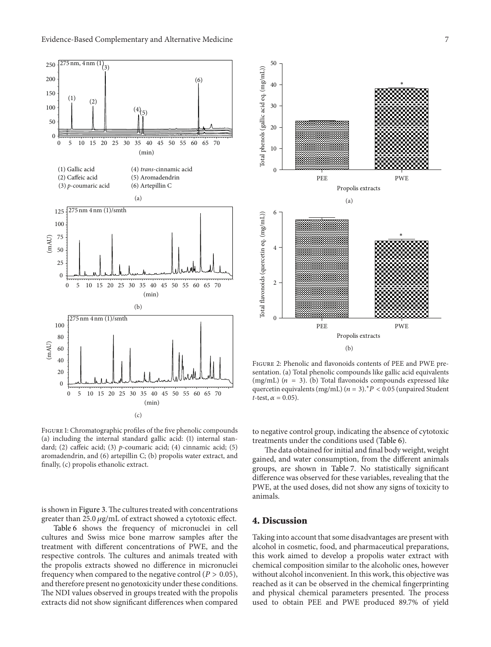<span id="page-6-0"></span>

<span id="page-6-2"></span><span id="page-6-1"></span>Figure 1: Chromatographic profiles of the five phenolic compounds (a) including the internal standard gallic acid: (1) internal standard; (2) caffeic acid; (3) *p-*coumaric acid; (4) cinnamic acid; (5) aromadendrin, and (6) artepillin C; (b) propolis water extract, and finally, (c) propolis ethanolic extract.

is shown in [Figure 3.](#page-7-1)The cultures treated with concentrations greater than  $25.0 \mu g/mL$  of extract showed a cytotoxic effect.

[Table 6](#page-7-2) shows the frequency of micronuclei in cell cultures and Swiss mice bone marrow samples after the treatment with different concentrations of PWE, and the respective controls. The cultures and animals treated with the propolis extracts showed no difference in micronuclei frequency when compared to the negative control ( $P > 0.05$ ), and therefore present no genotoxicity under these conditions. The NDI values observed in groups treated with the propolis extracts did not show significant differences when compared



<span id="page-6-3"></span>Figure 2: Phenolic and flavonoids contents of PEE and PWE presentation. (a) Total phenolic compounds like gallic acid equivalents (mg/mL) ( $n = 3$ ). (b) Total flavonoids compounds expressed like quercetin equivalents (mg/mL) ( $n=3$ ).<sup>∗</sup>  $P < 0.05$  (unpaired Student *t*-test,  $\alpha = 0.05$ ).

to negative control group, indicating the absence of cytotoxic treatments under the conditions used [\(Table 6\)](#page-7-2).

The data obtained for initial and final body weight, weight gained, and water consumption, from the different animals groups, are shown in [Table 7.](#page-8-0) No statistically significant difference was observed for these variables, revealing that the PWE, at the used doses, did not show any signs of toxicity to animals.

# **4. Discussion**

Taking into account that some disadvantages are present with alcohol in cosmetic, food, and pharmaceutical preparations, this work aimed to develop a propolis water extract with chemical composition similar to the alcoholic ones, however without alcohol inconvenient. In this work, this objective was reached as it can be observed in the chemical fingerprinting and physical chemical parameters presented. The process used to obtain PEE and PWE produced 89.7% of yield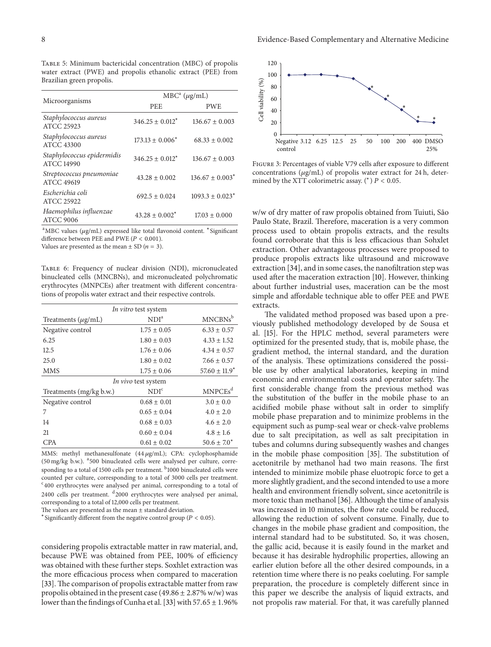<span id="page-7-0"></span>Table 5: Minimum bactericidal concentration (MBC) of propolis water extract (PWE) and propolis ethanolic extract (PEE) from Brazilian green propolis.

|                                                 | $MBCa$ ( $\mu$ g/mL) |                                 |  |  |
|-------------------------------------------------|----------------------|---------------------------------|--|--|
| Microorganisms                                  | <b>PEE</b>           | <b>PWE</b>                      |  |  |
| Staphylococcus aureus<br>ATCC 25923             | $346.25 \pm 0.012^*$ | $136.67 \pm 0.003$              |  |  |
| Staphylococcus aureus<br><b>ATCC 43300</b>      | $173.13 \pm 0.006^*$ | $68.33 \pm 0.002$               |  |  |
| Staphylococcus epidermidis<br><b>ATCC 14990</b> | $346.25 + 0.012^*$   | $136.67 + 0.003$                |  |  |
| Streptococcus pneumoniae<br>ATCC 49619          | $43.28 \pm 0.002$    | $136.67 \pm 0.003$ <sup>*</sup> |  |  |
| Escherichia coli<br><b>ATCC 25922</b>           | $692.5 + 0.024$      | $1093.3 + 0.023$ <sup>*</sup>   |  |  |
| Haemophilus influenzae<br><b>ATCC 9006</b>      | $43.28 \pm 0.002^*$  | $17.03 + 0.000$                 |  |  |

aMBC values (µg/mL) expressed like total flavonoid content. \*Significant difference between PEE and PWE ( $P < 0.001$ ).

Values are presented as the mean  $\pm$  SD ( $n=3$ ).

<span id="page-7-2"></span>Table 6: Frequency of nuclear division (NDI), micronucleated binucleated cells (MNCBNs), and micronucleated polychromatic erythrocytes (MNPCEs) after treatment with different concentrations of propolis water extract and their respective controls.

| In vitro test system    |                  |                     |  |  |  |  |
|-------------------------|------------------|---------------------|--|--|--|--|
| Treatments $(\mu g/mL)$ | NDI <sup>a</sup> | $MNCBNs^b$          |  |  |  |  |
| Negative control        | $1.75 \pm 0.05$  | $6.33 \pm 0.57$     |  |  |  |  |
| 6.25                    | $1.80 \pm 0.03$  | $4.33 \pm 1.52$     |  |  |  |  |
| 12.5                    | $1.76 \pm 0.06$  | $4.34 \pm 0.57$     |  |  |  |  |
| 25.0                    | $1.80 \pm 0.02$  | $7.66 \pm 0.57$     |  |  |  |  |
| <b>MMS</b>              | $1.75 + 0.06$    | $57.60 \pm 11.9^*$  |  |  |  |  |
| In vivo test system     |                  |                     |  |  |  |  |
| Treatments (mg/kg b.w.) | NDI <sup>c</sup> | MNPCEs <sup>d</sup> |  |  |  |  |
| Negative control        | $0.68 \pm 0.01$  | $3.0 \pm 0.0$       |  |  |  |  |
| 7                       | $0.65 \pm 0.04$  | $4.0 \pm 2.0$       |  |  |  |  |
| 14                      | $0.68 \pm 0.03$  | $4.6 \pm 2.0$       |  |  |  |  |
| 21                      | $0.60 \pm 0.04$  | $4.8 \pm 1.6$       |  |  |  |  |
| <b>CPA</b>              | $0.61 \pm 0.02$  | $50.6 \pm 7.0^*$    |  |  |  |  |
|                         |                  |                     |  |  |  |  |

MMS: methyl methanesulfonate  $(44 \,\mu\text{g/mL})$ ; CPA: cyclophosphamide (50 mg/kg b.w.). <sup>a</sup> 500 binucleated cells were analysed per culture, corresponding to a total of 1500 cells per treatment. <sup>b</sup>1000 binucleated cells were counted per culture, corresponding to a total of 3000 cells per treatment. <sup>c</sup>400 erythrocytes were analysed per animal, corresponding to a total of 2400 cells per treatment. <sup>d</sup>2000 erythrocytes were analysed per animal, corresponding to a total of 12,000 cells per treatment.

The values are presented as the mean  $\pm$  standard deviation.  $*$  Significantly different from the negative control group ( $P < 0.05$ ).

considering propolis extractable matter in raw material, and, because PWE was obtained from PEE, 100% of efficiency was obtained with these further steps. Soxhlet extraction was the more efficacious process when compared to maceration [\[33\]](#page-10-15). The comparison of propolis extractable matter from raw propolis obtained in the present case  $(49.86 \pm 2.87\% \text{ w/w})$  was lower than the findings of Cunha et al. [\[33\]](#page-10-15) with  $57.65 \pm 1.96\%$ 



<span id="page-7-1"></span>Figure 3: Percentages of viable V79 cells after exposure to different concentrations  $(\mu g/mL)$  of propolis water extract for 24 h, determined by the XTT colorimetric assay. (\*)  $P < 0.05$ .

w/w of dry matter of raw propolis obtained from Tuiuti, São Paulo State, Brazil. Therefore, maceration is a very common process used to obtain propolis extracts, and the results found corroborate that this is less efficacious than Sohxlet extraction. Other advantageous processes were proposed to produce propolis extracts like ultrasound and microwave extraction [\[34\]](#page-10-16), and in some cases, the nanofiltration step was used after the maceration extraction [\[10\]](#page-9-9). However, thinking about further industrial uses, maceration can be the most simple and affordable technique able to offer PEE and PWE extracts.

The validated method proposed was based upon a previously published methodology developed by de Sousa et al. [\[15\]](#page-9-14). For the HPLC method, several parameters were optimized for the presented study, that is, mobile phase, the gradient method, the internal standard, and the duration of the analysis. These optimizations considered the possible use by other analytical laboratories, keeping in mind economic and environmental costs and operator safety. The first considerable change from the previous method was the substitution of the buffer in the mobile phase to an acidified mobile phase without salt in order to simplify mobile phase preparation and to minimize problems in the equipment such as pump-seal wear or check-valve problems due to salt precipitation, as well as salt precipitation in tubes and columns during subsequently washes and changes in the mobile phase composition [\[35](#page-10-17)]. The substitution of acetonitrile by methanol had two main reasons. The first intended to minimize mobile phase eluotropic force to get a more slightly gradient, and the second intended to use a more health and environment friendly solvent, since acetonitrile is more toxic than methanol [\[36\]](#page-10-18). Although the time of analysis was increased in 10 minutes, the flow rate could be reduced, allowing the reduction of solvent consume. Finally, due to changes in the mobile phase gradient and composition, the internal standard had to be substituted. So, it was chosen, the gallic acid, because it is easily found in the market and because it has desirable hydrophilic properties, allowing an earlier elution before all the other desired compounds, in a retention time where there is no peaks coeluting. For sample preparation, the procedure is completely different since in this paper we describe the analysis of liquid extracts, and not propolis raw material. For that, it was carefully planned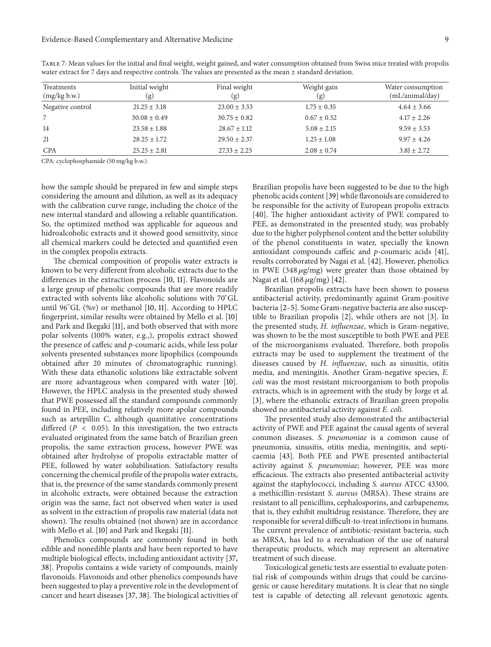| Treatments<br>(mg/kg b.w.) | Initial weight<br>(g) | Final weight<br>(g) | Weight gain<br>(g) | Water consumption<br>(mL/animal/day) |
|----------------------------|-----------------------|---------------------|--------------------|--------------------------------------|
| Negative control           | $21.25 \pm 3.18$      | $23.00 \pm 3.53$    | $1.75 \pm 0.35$    | $4.64 \pm 3.66$                      |
|                            | $30.08 \pm 0.49$      | $30.75 \pm 0.82$    | $0.67 \pm 0.52$    | $4.17 \pm 2.26$                      |
| 14                         | $23.58 \pm 1.88$      | $28.67 \pm 1.12$    | $5.08 \pm 2.15$    | $9.59 \pm 3.53$                      |
| 21                         | $28.25 \pm 1.72$      | $29.50 \pm 2.37$    | $1.25 \pm 1.08$    | $9.97 \pm 4.26$                      |
| <b>CPA</b>                 | $25.25 \pm 2.81$      | $27.33 \pm 2.25$    | $2.08 \pm 0.74$    | $3.81 \pm 2.72$                      |

<span id="page-8-0"></span>Table 7: Mean values for the initial and final weight, weight gained, and water consumption obtained from Swiss mice treated with propolis water extract for 7 days and respective controls. The values are presented as the mean ± standard deviation.

CPA: cyclophosphamide (50 mg/kg b.w.).

how the sample should be prepared in few and simple steps considering the amount and dilution, as well as its adequacy with the calibration curve range, including the choice of the new internal standard and allowing a reliable quantification. So, the optimized method was applicable for aqueous and hidroalcoholic extracts and it showed good sensitivity, since all chemical markers could be detected and quantified even in the complex propolis extracts.

The chemical composition of propolis water extracts is known to be very different from alcoholic extracts due to the differences in the extraction process [\[10](#page-9-9), [11](#page-9-10)]. Flavonoids are a large group of phenolic compounds that are more readily extracted with solvents like alcoholic solutions with 70<sup>∘</sup> GL until 96<sup>∘</sup> GL (%v) or methanol [\[10](#page-9-9), [11\]](#page-9-10). According to HPLC fingerprint, similar results were obtained by Mello et al. [\[10](#page-9-9)] and Park and Ikegaki [\[11](#page-9-10)], and both observed that with more polar solvents (100% water, e.g.,), propolis extract showed the presence of caffeic and *p*-coumaric acids, while less polar solvents presented substances more lipophilics (compounds obtained after 20 minutes of chromatographic running). With these data ethanolic solutions like extractable solvent are more advantageous when compared with water [\[10\]](#page-9-9). However, the HPLC analysis in the presented study showed that PWE possessed all the standard compounds commonly found in PEE, including relatively more apolar compounds such as artepillin C, although quantitative concentrations differed ( $P < 0.05$ ). In this investigation, the two extracts evaluated originated from the same batch of Brazilian green propolis, the same extraction process, however PWE was obtained after hydrolyse of propolis extractable matter of PEE, followed by water solubilisation. Satisfactory results concerning the chemical profile of the propolis water extracts, that is, the presence of the same standards commonly present in alcoholic extracts, were obtained because the extraction origin was the same, fact not observed when water is used as solvent in the extraction of propolis raw material (data not shown). The results obtained (not shown) are in accordance with Mello et al. [\[10\]](#page-9-9) and Park and Ikegaki [\[11\]](#page-9-10).

Phenolics compounds are commonly found in both edible and nonedible plants and have been reported to have multiple biological effects, including antioxidant activity [\[37](#page-10-19), [38\]](#page-10-20). Propolis contains a wide variety of compounds, mainly flavonoids. Flavonoids and other phenolics compounds have been suggested to play a preventive role in the development of cancer and heart diseases [\[37,](#page-10-19) [38](#page-10-20)]. The biological activities of

Brazilian propolis have been suggested to be due to the high phenolic acids content [\[39\]](#page-10-21) while flavonoids are considered to be responsible for the activity of European propolis extracts [\[40](#page-10-22)]. The higher antioxidant activity of PWE compared to PEE, as demonstrated in the presented study, was probably due to the higher polyphenol content and the better solubility of the phenol constituents in water, specially the known antioxidant compounds caffeic and *p*-coumaric acids [\[41](#page-10-23)], results corroborated by Nagai et al. [\[42\]](#page-10-24). However, phenolics in PWE (348  $\mu$ g/mg) were greater than those obtained by Nagai et al.  $(168 \,\mu g/mg)$  [\[42](#page-10-24)].

Brazilian propolis extracts have been shown to possess antibacterial activity, predominantly against Gram-positive bacteria [\[2](#page-9-2)[–5](#page-9-4)]. Some Gram-negative bacteria are also susceptible to Brazilian propolis [\[2\]](#page-9-2), while others are not [\[3\]](#page-9-16). In the presented study, *H. influenzae*, which is Gram-negative, was shown to be the most susceptible to both PWE and PEE of the microorganisms evaluated. Therefore, both propolis extracts may be used to supplement the treatment of the diseases caused by *H. influenzae*, such as sinusitis, otitis media, and meningitis. Another Gram-negative species, *E. coli* was the most resistant microorganism to both propolis extracts, which is in agreement with the study by Jorge et al. [\[3\]](#page-9-16), where the ethanolic extracts of Brazilian green propolis showed no antibacterial activity against *E. coli.*

The presented study also demonstrated the antibacterial activity of PWE and PEE against the causal agents of several common diseases. *S. pneumoniae* is a common cause of pneumonia, sinusitis, otitis media, meningitis, and septicaemia [\[43](#page-10-25)]. Both PEE and PWE presented antibacterial activity against *S. pneumoniae*; however, PEE was more efficacious. The extracts also presented antibacterial activity against the staphylococci, including *S. aureus* ATCC 43300, a methicillin-resistant *S. aureus* (MRSA). These strains are resistant to all penicillins, cephalosporins, and carbapenems; that is, they exhibit multidrug resistance. Therefore, they are responsible for several difficult-to-treat infections in humans. The current prevalence of antibiotic-resistant bacteria, such as MRSA, has led to a reevaluation of the use of natural therapeutic products, which may represent an alternative treatment of such disease.

Toxicological genetic tests are essential to evaluate potential risk of compounds within drugs that could be carcinogenic or cause hereditary mutations. It is clear that no single test is capable of detecting all relevant genotoxic agents.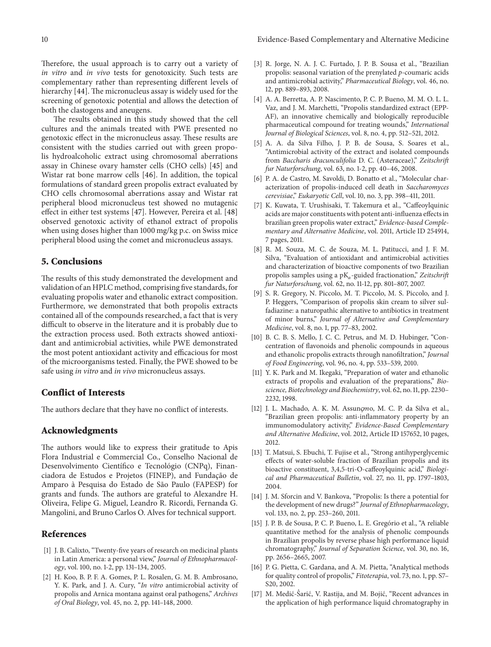Therefore, the usual approach is to carry out a variety of *in vitro* and *in vivo* tests for genotoxicity. Such tests are complementary rather than representing different levels of hierarchy [\[44\]](#page-10-26). The micronucleus assay is widely used for the screening of genotoxic potential and allows the detection of both the clastogens and aneugens.

The results obtained in this study showed that the cell cultures and the animals treated with PWE presented no genotoxic effect in the micronucleus assay. These results are consistent with the studies carried out with green propolis hydroalcoholic extract using chromosomal aberrations assay in Chinese ovary hamster cells (CHO cells) [\[45\]](#page-10-27) and Wistar rat bone marrow cells [\[46](#page-10-28)]. In addition, the topical formulations of standard green propolis extract evaluated by CHO cells chromosomal aberrations assay and Wistar rat peripheral blood micronucleus test showed no mutagenic effect in either test systems [\[47\]](#page-10-29). However, Pereira et al. [\[48](#page-10-30)] observed genotoxic activity of ethanol extract of propolis when using doses higher than 1000 mg/kg p.c. on Swiss mice peripheral blood using the comet and micronucleus assays.

### **5. Conclusions**

The results of this study demonstrated the development and validation of an HPLC method, comprising five standards, for evaluating propolis water and ethanolic extract composition. Furthermore, we demonstrated that both propolis extracts contained all of the compounds researched, a fact that is very difficult to observe in the literature and it is probably due to the extraction process used. Both extracts showed antioxidant and antimicrobial activities, while PWE demonstrated the most potent antioxidant activity and efficacious for most of the microorganisms tested. Finally, the PWE showed to be safe using *in vitro* and *in vivo* micronucleus assays.

## **Conflict of Interests**

The authors declare that they have no conflict of interests.

### **Acknowledgments**

The authors would like to express their gratitude to Apis Flora Industrial e Commercial Co., Conselho Nacional de Desenvolvimento Científico e Tecnológio (CNPq), Financiadora de Estudos e Projetos (FINEP), and Fundação de Amparo à Pesquisa do Estado de São Paulo (FAPESP) for grants and funds. The authors are grateful to Alexandre H. Oliveira, Felipe G. Miguel, Leandro R. Ricordi, Fernanda G. Mangolini, and Bruno Carlos O. Alves for technical support.

#### <span id="page-9-0"></span>**References**

- <span id="page-9-1"></span>[1] J. B. Calixto, "Twenty-five years of research on medicinal plants in Latin America: a personal view," *Journal of Ethnopharmacology*, vol. 100, no. 1-2, pp. 131–134, 2005.
- <span id="page-9-2"></span>[2] H. Koo, B. P. F. A. Gomes, P. L. Rosalen, G. M. B. Ambrosano, Y. K. Park, and J. A. Cury, "*In vitro* antimicrobial activity of propolis and Arnica montana against oral pathogens," *Archives of Oral Biology*, vol. 45, no. 2, pp. 141–148, 2000.
- <span id="page-9-16"></span>[3] R. Jorge, N. A. J. C. Furtado, J. P. B. Sousa et al., "Brazilian propolis: seasonal variation of the prenylated *p*-coumaric acids and antimicrobial activity," *Pharmaceutical Biology*, vol. 46, no. 12, pp. 889–893, 2008.
- <span id="page-9-3"></span>[4] A. A. Berretta, A. P. Nascimento, P. C. P. Bueno, M. M. O. L. L. Vaz, and J. M. Marchetti, "Propolis standardized extract (EPP-AF), an innovative chemically and biologically reproducible pharmaceutical compound for treating wounds," *International Journal of Biological Sciences*, vol. 8, no. 4, pp. 512–521, 2012.
- <span id="page-9-4"></span>[5] A. A. da Silva Filho, J. P. B. de Sousa, S. Soares et al., "Antimicrobial activity of the extract and isolated compounds from *Baccharis dracunculifolia* D. C. (Asteraceae)," *Zeitschrift fur Naturforschung*, vol. 63, no. 1-2, pp. 40–46, 2008.
- <span id="page-9-5"></span>[6] P. A. de Castro, M. Savoldi, D. Bonatto et al., "Molecular characterization of propolis-induced cell death in *Saccharomyces cerevisiae*," *Eukaryotic Cell*, vol. 10, no. 3, pp. 398–411, 2011.
- <span id="page-9-6"></span>[7] K. Kuwata, T. Urushisaki, T. Takemura et al., "Caffeoylquinic acids are major constituents with potent anti-influenza effects in brazilian green propolis water extract," *Evidence-based Complementary and Alternative Medicine*, vol. 2011, Article ID 254914, 7 pages, 2011.
- <span id="page-9-7"></span>[8] R. M. Souza, M. C. de Souza, M. L. Patitucci, and J. F. M. Silva, "Evaluation of antioxidant and antimicrobial activities and characterization of bioactive components of two Brazilian propolis samples using a pK<sub>a</sub>-guided fractionation," *Zeitschrift fur Naturforschung*, vol. 62, no. 11-12, pp. 801–807, 2007.
- <span id="page-9-8"></span>[9] S. R. Gregory, N. Piccolo, M. T. Piccolo, M. S. Piccolo, and J. P. Heggers, "Comparison of propolis skin cream to silver sulfadiazine: a naturopathic alternative to antibiotics in treatment of minor burns," *Journal of Alternative and Complementary Medicine*, vol. 8, no. 1, pp. 77–83, 2002.
- <span id="page-9-9"></span>[10] B. C. B. S. Mello, J. C. C. Petrus, and M. D. Hubinger, "Concentration of flavonoids and phenolic compounds in aqueous and ethanolic propolis extracts through nanofiltration," *Journal of Food Engineering*, vol. 96, no. 4, pp. 533–539, 2010.
- <span id="page-9-10"></span>[11] Y. K. Park and M. Ikegaki, "Preparation of water and ethanolic extracts of propolis and evaluation of the preparations," *Bioscience, Biotechnology and Biochemistry*, vol. 62, no. 11, pp. 2230– 2232, 1998.
- <span id="page-9-11"></span>[12] J. L. Machado, A. K. M. Assunçmo, M. C. P. da Silva et al., "Brazilian green propolis: anti-inflammatory property by an immunomodulatory activity," *Evidence-Based Complementary and Alternative Medicine*, vol. 2012, Article ID 157652, 10 pages, 2012.
- <span id="page-9-12"></span>[13] T. Matsui, S. Ebuchi, T. Fujise et al., "Strong antihyperglycemic effects of water-soluble fraction of Brazilian propolis and its bioactive constituent, 3,4,5-tri-O-caffeoylquinic acid," *Biological and Pharmaceutical Bulletin*, vol. 27, no. 11, pp. 1797–1803, 2004.
- <span id="page-9-13"></span>[14] J. M. Sforcin and V. Bankova, "Propolis: Is there a potential for the development of new drugs?" *Journal of Ethnopharmacology*, vol. 133, no. 2, pp. 253–260, 2011.
- <span id="page-9-14"></span>[15] J. P. B. de Sousa, P. C. P. Bueno, L. E. Gregório et al., "A reliable quantitative method for the analysis of phenolic compounds in Brazilian propolis by reverse phase high performance liquid chromatography," *Journal of Separation Science*, vol. 30, no. 16, pp. 2656–2665, 2007.
- [16] P. G. Pietta, C. Gardana, and A. M. Pietta, "Analytical methods for quality control of propolis," *Fitoterapia*, vol. 73, no. 1, pp. S7– S20, 2002.
- <span id="page-9-15"></span>[17] M. Medić-Ŝarić, V. Rastija, and M. Bojić, "Recent advances in the application of high performance liquid chromatography in